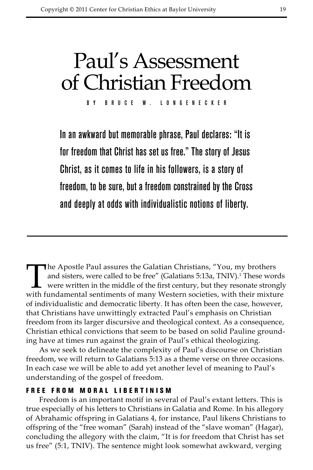# Paul's Assessment of Christian Freedom

By Bruce W. Longenecker

In an awkward but memorable phrase, Paul declares: "It is for freedom that Christ has set us free." The story of Jesus Christ, as it comes to life in his followers, is a story of freedom, to be sure, but a freedom constrained by the Cross and deeply at odds with individualistic notions of liberty.

The Apostle Paul assures the Galatian Christians, "You, my brothers and sisters, were called to be free" (Galatians 5:13a, TNIV).<sup>1</sup> These words were written in the middle of the first century, but they resonate strongly with fundamental sentiments of many Western societies, with their mixture of individualistic and democratic liberty. It has often been the case, however, that Christians have unwittingly extracted Paul's emphasis on Christian freedom from its larger discursive and theological context. As a consequence, Christian ethical convictions that seem to be based on solid Pauline grounding have at times run against the grain of Paul's ethical theologizing.

As we seek to delineate the complexity of Paul's discourse on Christian freedom, we will return to Galatians 5:13 as a theme verse on three occasions. In each case we will be able to add yet another level of meaning to Paul's understanding of the gospel of freedom.

### Free f rom M oral L ibertinism

Freedom is an important motif in several of Paul's extant letters. This is true especially of his letters to Christians in Galatia and Rome. In his allegory of Abrahamic offspring in Galatians 4, for instance, Paul likens Christians to offspring of the "free woman" (Sarah) instead of the "slave woman" (Hagar), concluding the allegory with the claim, "It is for freedom that Christ has set us free" (5:1, TNIV). The sentence might look somewhat awkward, verging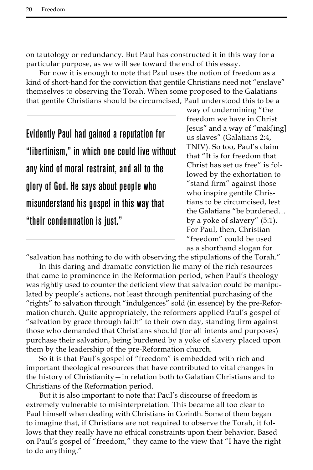on tautology or redundancy. But Paul has constructed it in this way for a particular purpose, as we will see toward the end of this essay.

For now it is enough to note that Paul uses the notion of freedom as a kind of short-hand for the conviction that gentile Christians need not "enslave" themselves to observing the Torah. When some proposed to the Galatians that gentile Christians should be circumcised, Paul understood this to be a

Evidently Paul had gained a reputation for "libertinism," in which one could live without any kind of moral restraint, and all to the glory of God. He says about people who misunderstand his gospel in this way that "their condemnation is just."

way of undermining "the freedom we have in Christ Jesus" and a way of "mak[ing] us slaves" (Galatians 2:4, TNIV). So too, Paul's claim that "It is for freedom that Christ has set us free" is followed by the exhortation to "stand firm" against those who inspire gentile Christians to be circumcised, lest the Galatians "be burdened… by a yoke of slavery" (5:1). For Paul, then, Christian "freedom" could be used as a shorthand slogan for

"salvation has nothing to do with observing the stipulations of the Torah."

In this daring and dramatic conviction lie many of the rich resources that came to prominence in the Reformation period, when Paul's theology was rightly used to counter the deficient view that salvation could be manipulated by people's actions, not least through penitential purchasing of the "rights" to salvation through "indulgences" sold (in essence) by the pre-Reformation church. Quite appropriately, the reformers applied Paul's gospel of "salvation by grace through faith" to their own day, standing firm against those who demanded that Christians should (for all intents and purposes) purchase their salvation, being burdened by a yoke of slavery placed upon them by the leadership of the pre-Reformation church.

So it is that Paul's gospel of "freedom" is embedded with rich and important theological resources that have contributed to vital changes in the history of Christianity—in relation both to Galatian Christians and to Christians of the Reformation period.

But it is also important to note that Paul's discourse of freedom is extremely vulnerable to misinterpretation. This became all too clear to Paul himself when dealing with Christians in Corinth. Some of them began to imagine that, if Christians are not required to observe the Torah, it follows that they really have no ethical constraints upon their behavior. Based on Paul's gospel of "freedom," they came to the view that "I have the right to do anything."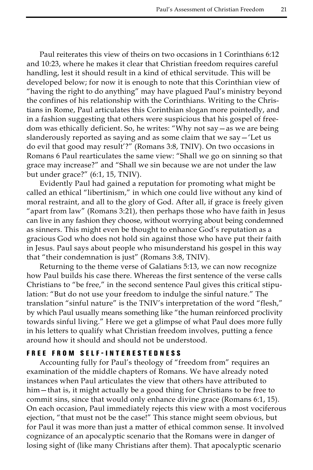Paul reiterates this view of theirs on two occasions in 1 Corinthians 6:12 and 10:23, where he makes it clear that Christian freedom requires careful handling, lest it should result in a kind of ethical servitude. This will be developed below; for now it is enough to note that this Corinthian view of "having the right to do anything" may have plagued Paul's ministry beyond the confines of his relationship with the Corinthians. Writing to the Christians in Rome, Paul articulates this Corinthian slogan more pointedly, and in a fashion suggesting that others were suspicious that his gospel of freedom was ethically deficient. So, he writes: "Why not say—as we are being slanderously reported as saying and as some claim that we say—'Let us do evil that good may result'?" (Romans 3:8, TNIV). On two occasions in Romans 6 Paul rearticulates the same view: "Shall we go on sinning so that grace may increase?" and "Shall we sin because we are not under the law but under grace?" (6:1, 15, TNIV).

Evidently Paul had gained a reputation for promoting what might be called an ethical "libertinism," in which one could live without any kind of moral restraint, and all to the glory of God. After all, if grace is freely given "apart from law" (Romans 3:21), then perhaps those who have faith in Jesus can live in any fashion they choose, without worrying about being condemned as sinners. This might even be thought to enhance God's reputation as a gracious God who does not hold sin against those who have put their faith in Jesus. Paul says about people who misunderstand his gospel in this way that "their condemnation is just" (Romans 3:8, TNIV).

Returning to the theme verse of Galatians 5:13, we can now recognize how Paul builds his case there. Whereas the first sentence of the verse calls Christians to "be free," in the second sentence Paul gives this critical stipulation: "But do not use your freedom to indulge the sinful nature." The translation "sinful nature" is the TNIV's interpretation of the word "flesh," by which Paul usually means something like "the human reinforced proclivity towards sinful living." Here we get a glimpse of what Paul does more fully in his letters to qualify what Christian freedom involves, putting a fence around how it should and should not be understood.

## Free f rom S e l f -interestedness

Accounting fully for Paul's theology of "freedom from" requires an examination of the middle chapters of Romans. We have already noted instances when Paul articulates the view that others have attributed to him—that is, it might actually be a good thing for Christians to be free to commit sins, since that would only enhance divine grace (Romans 6:1, 15). On each occasion, Paul immediately rejects this view with a most vociferous ejection, "that must not be the case!" This stance might seem obvious, but for Paul it was more than just a matter of ethical common sense. It involved cognizance of an apocalyptic scenario that the Romans were in danger of losing sight of (like many Christians after them). That apocalyptic scenario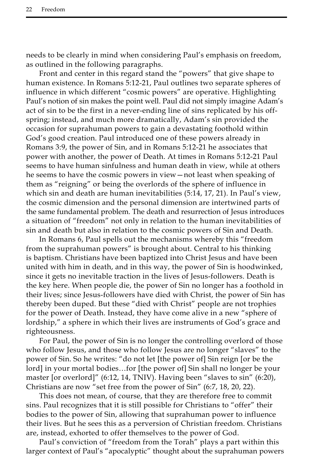needs to be clearly in mind when considering Paul's emphasis on freedom, as outlined in the following paragraphs.

Front and center in this regard stand the "powers" that give shape to human existence. In Romans 5:12-21, Paul outlines two separate spheres of influence in which different "cosmic powers" are operative. Highlighting Paul's notion of sin makes the point well. Paul did not simply imagine Adam's act of sin to be the first in a never-ending line of sins replicated by his offspring; instead, and much more dramatically, Adam's sin provided the occasion for suprahuman powers to gain a devastating foothold within God's good creation. Paul introduced one of these powers already in Romans 3:9, the power of Sin, and in Romans 5:12-21 he associates that power with another, the power of Death. At times in Romans 5:12-21 Paul seems to have human sinfulness and human death in view, while at others he seems to have the cosmic powers in view—not least when speaking of them as "reigning" or being the overlords of the sphere of influence in which sin and death are human inevitabilities (5:14, 17, 21). In Paul's view, the cosmic dimension and the personal dimension are intertwined parts of the same fundamental problem. The death and resurrection of Jesus introduces a situation of "freedom" not only in relation to the human inevitabilities of sin and death but also in relation to the cosmic powers of Sin and Death.

In Romans 6, Paul spells out the mechanisms whereby this "freedom from the suprahuman powers" is brought about. Central to his thinking is baptism. Christians have been baptized into Christ Jesus and have been united with him in death, and in this way, the power of Sin is hoodwinked, since it gets no inevitable traction in the lives of Jesus-followers. Death is the key here. When people die, the power of Sin no longer has a foothold in their lives; since Jesus-followers have died with Christ, the power of Sin has thereby been duped. But these "died with Christ" people are not trophies for the power of Death. Instead, they have come alive in a new "sphere of lordship," a sphere in which their lives are instruments of God's grace and righteousness.

For Paul, the power of Sin is no longer the controlling overlord of those who follow Jesus, and those who follow Jesus are no longer "slaves" to the power of Sin. So he writes: "do not let [the power of] Sin reign [or be the lord] in your mortal bodies…for [the power of] Sin shall no longer be your master [or overlord]" (6:12, 14, TNIV). Having been "slaves to sin" (6:20), Christians are now "set free from the power of Sin" (6:7, 18, 20, 22).

This does not mean, of course, that they are therefore free to commit sins. Paul recognizes that it is still possible for Christians to "offer" their bodies to the power of Sin, allowing that suprahuman power to influence their lives. But he sees this as a perversion of Christian freedom. Christians are, instead, exhorted to offer themselves to the power of God.

Paul's conviction of "freedom from the Torah" plays a part within this larger context of Paul's "apocalyptic" thought about the suprahuman powers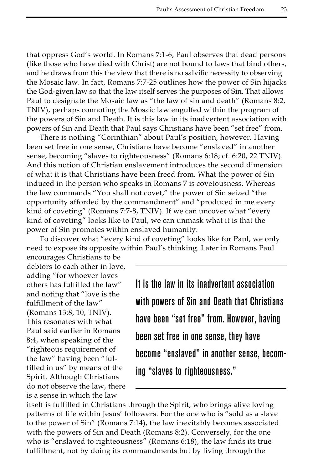that oppress God's world. In Romans 7:1-6, Paul observes that dead persons (like those who have died with Christ) are not bound to laws that bind others, and he draws from this the view that there is no salvific necessity to observing the Mosaic law. In fact, Romans 7:7-25 outlines how the power of Sin hijacks the God-given law so that the law itself serves the purposes of Sin. That allows Paul to designate the Mosaic law as "the law of sin and death" (Romans 8:2, TNIV), perhaps connoting the Mosaic law engulfed within the program of the powers of Sin and Death. It is this law in its inadvertent association with powers of Sin and Death that Paul says Christians have been "set free" from.

There is nothing "Corinthian" about Paul's position, however. Having been set free in one sense, Christians have become "enslaved" in another sense, becoming "slaves to righteousness" (Romans 6:18; cf. 6:20, 22 TNIV). And this notion of Christian enslavement introduces the second dimension of what it is that Christians have been freed from. What the power of Sin induced in the person who speaks in Romans 7 is covetousness. Whereas the law commands "You shall not covet," the power of Sin seized "the opportunity afforded by the commandment" and "produced in me every kind of coveting" (Romans 7:7-8, TNIV). If we can uncover what "every kind of coveting" looks like to Paul, we can unmask what it is that the power of Sin promotes within enslaved humanity.

To discover what "every kind of coveting" looks like for Paul, we only need to expose its opposite within Paul's thinking. Later in Romans Paul

encourages Christians to be debtors to each other in love, adding "for whoever loves others has fulfilled the law" and noting that "love is the fulfillment of the law" (Romans 13:8, 10, TNIV). This resonates with what Paul said earlier in Romans 8:4, when speaking of the "righteous requirement of the law" having been "fulfilled in us" by means of the Spirit. Although Christians do not observe the law, there is a sense in which the law

It is the law in its inadvertent association with powers of Sin and Death that Christians have been "set free" from. However, having been set free in one sense, they have become "enslaved" in another sense, becoming "slaves to righteousness."

itself is fulfilled in Christians through the Spirit, who brings alive loving patterns of life within Jesus' followers. For the one who is "sold as a slave to the power of Sin" (Romans 7:14), the law inevitably becomes associated with the powers of Sin and Death (Romans 8:2). Conversely, for the one who is "enslaved to righteousness" (Romans 6:18), the law finds its true fulfillment, not by doing its commandments but by living through the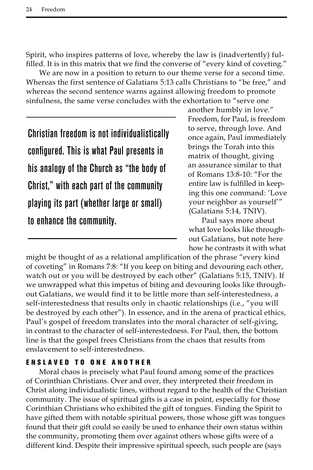Spirit, who inspires patterns of love, whereby the law is (inadvertently) fulfilled. It is in this matrix that we find the converse of "every kind of coveting."

We are now in a position to return to our theme verse for a second time. Whereas the first sentence of Galatians 5:13 calls Christians to "be free," and whereas the second sentence warns against allowing freedom to promote sinfulness, the same verse concludes with the exhortation to "serve one

Christian freedom is not individualistically configured. This is what Paul presents in his analogy of the Church as "the body of Christ," with each part of the community playing its part (whether large or small) to enhance the community.

another humbly in love." Freedom, for Paul, is freedom to serve, through love. And once again, Paul immediately brings the Torah into this matrix of thought, giving an assurance similar to that of Romans 13:8-10: "For the entire law is fulfilled in keeping this one command: 'Love your neighbor as yourself'" (Galatians 5:14, TNIV).

Paul says more about what love looks like throughout Galatians, but note here how he contrasts it with what

might be thought of as a relational amplification of the phrase "every kind of coveting" in Romans 7:8: "If you keep on biting and devouring each other, watch out or you will be destroyed by each other" (Galatians 5:15, TNIV). If we unwrapped what this impetus of biting and devouring looks like throughout Galatians, we would find it to be little more than self-interestedness, a self-interestedness that results only in chaotic relationships (i.e., "you will be destroyed by each other"). In essence, and in the arena of practical ethics, Paul's gospel of freedom translates into the moral character of self-giving, in contrast to the character of self-interestedness. For Paul, then, the bottom line is that the gospel frees Christians from the chaos that results from enslavement to self-interestedness.

## E nslaved to one another

Moral chaos is precisely what Paul found among some of the practices of Corinthian Christians. Over and over, they interpreted their freedom in Christ along individualistic lines, without regard to the health of the Christian community. The issue of spiritual gifts is a case in point, especially for those Corinthian Christians who exhibited the gift of tongues. Finding the Spirit to have gifted them with notable spiritual powers, those whose gift was tongues found that their gift could so easily be used to enhance their own status within the community, promoting them over against others whose gifts were of a different kind. Despite their impressive spiritual speech, such people are (says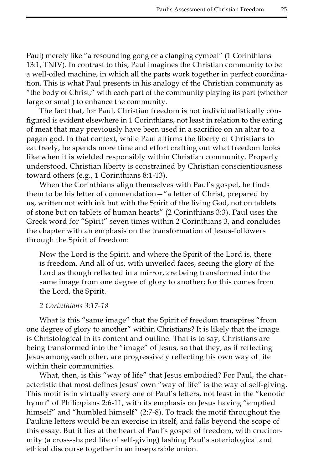Paul) merely like "a resounding gong or a clanging cymbal" (1 Corinthians 13:1, TNIV). In contrast to this, Paul imagines the Christian community to be a well-oiled machine, in which all the parts work together in perfect coordination. This is what Paul presents in his analogy of the Christian community as "the body of Christ," with each part of the community playing its part (whether large or small) to enhance the community.

The fact that, for Paul, Christian freedom is not individualistically configured is evident elsewhere in 1 Corinthians, not least in relation to the eating of meat that may previously have been used in a sacrifice on an altar to a pagan god. In that context, while Paul affirms the liberty of Christians to eat freely, he spends more time and effort crafting out what freedom looks like when it is wielded responsibly within Christian community. Properly understood, Christian liberty is constrained by Christian conscientiousness toward others (e.g., 1 Corinthians 8:1-13).

When the Corinthians align themselves with Paul's gospel, he finds them to be his letter of commendation—"a letter of Christ, prepared by us, written not with ink but with the Spirit of the living God, not on tablets of stone but on tablets of human hearts" (2 Corinthians 3:3). Paul uses the Greek word for "Spirit" seven times within 2 Corinthians 3, and concludes the chapter with an emphasis on the transformation of Jesus-followers through the Spirit of freedom:

Now the Lord is the Spirit, and where the Spirit of the Lord is, there is freedom. And all of us, with unveiled faces, seeing the glory of the Lord as though reflected in a mirror, are being transformed into the same image from one degree of glory to another; for this comes from the Lord, the Spirit.

#### *2 Corinthians 3:17-18*

What is this "same image" that the Spirit of freedom transpires "from one degree of glory to another" within Christians? It is likely that the image is Christological in its content and outline. That is to say, Christians are being transformed into the "image" of Jesus, so that they, as if reflecting Jesus among each other, are progressively reflecting his own way of life within their communities.

What, then, is this "way of life" that Jesus embodied? For Paul, the characteristic that most defines Jesus' own "way of life" is the way of self-giving. This motif is in virtually every one of Paul's letters, not least in the "kenotic hymn" of Philippians 2:6-11, with its emphasis on Jesus having "emptied himself" and "humbled himself" (2:7-8). To track the motif throughout the Pauline letters would be an exercise in itself, and falls beyond the scope of this essay. But it lies at the heart of Paul's gospel of freedom, with cruciformity (a cross-shaped life of self-giving) lashing Paul's soteriological and ethical discourse together in an inseparable union.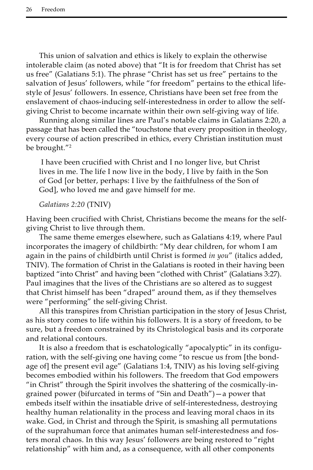This union of salvation and ethics is likely to explain the otherwise intolerable claim (as noted above) that "It is for freedom that Christ has set us free" (Galatians 5:1). The phrase "Christ has set us free" pertains to the salvation of Jesus' followers, while "for freedom" pertains to the ethical lifestyle of Jesus' followers. In essence, Christians have been set free from the enslavement of chaos-inducing self-interestedness in order to allow the selfgiving Christ to become incarnate within their own self-giving way of life.

Running along similar lines are Paul's notable claims in Galatians 2:20, a passage that has been called the "touchstone that every proposition in theology, every course of action prescribed in ethics, every Christian institution must be brought."<sup>2</sup>

 I have been crucified with Christ and I no longer live, but Christ lives in me. The life I now live in the body, I live by faith in the Son of God [or better, perhaps: I live by the faithfulness of the Son of God], who loved me and gave himself for me.

#### *Galatians 2:20* (TNIV)

Having been crucified with Christ, Christians become the means for the selfgiving Christ to live through them.

The same theme emerges elsewhere, such as Galatians 4:19, where Paul incorporates the imagery of childbirth: "My dear children, for whom I am again in the pains of childbirth until Christ is formed *in you*" (italics added, TNIV). The formation of Christ in the Galatians is rooted in their having been baptized "into Christ" and having been "clothed with Christ" (Galatians 3:27). Paul imagines that the lives of the Christians are so altered as to suggest that Christ himself has been "draped" around them, as if they themselves were "performing" the self-giving Christ.

All this transpires from Christian participation in the story of Jesus Christ, as his story comes to life within his followers. It is a story of freedom, to be sure, but a freedom constrained by its Christological basis and its corporate and relational contours.

It is also a freedom that is eschatologically "apocalyptic" in its configuration, with the self-giving one having come "to rescue us from [the bondage of] the present evil age" (Galatians 1:4, TNIV) as his loving self-giving becomes embodied within his followers. The freedom that God empowers "in Christ" through the Spirit involves the shattering of the cosmically-ingrained power (bifurcated in terms of "Sin and Death")—a power that embeds itself within the insatiable drive of self-interestedness, destroying healthy human relationality in the process and leaving moral chaos in its wake. God, in Christ and through the Spirit, is smashing all permutations of the suprahuman force that animates human self-interestedness and fosters moral chaos. In this way Jesus' followers are being restored to "right relationship" with him and, as a consequence, with all other components